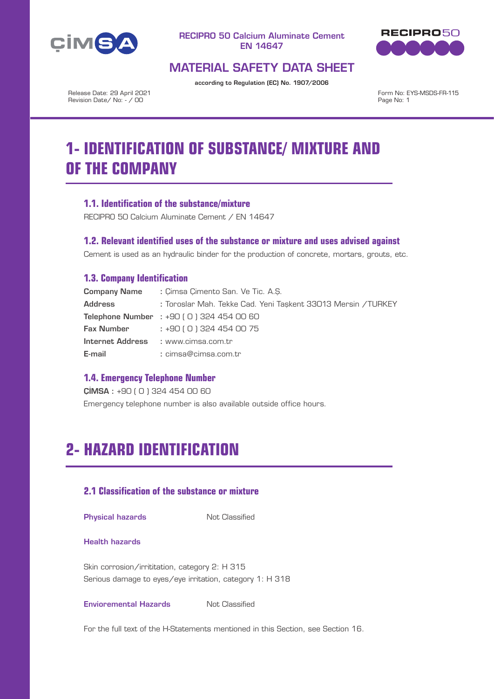



# MATERIAL SAFETY DATA SHEET

according to Regulation (EC) No. 1907/2006

Release Date: 29 April 2021 Revision Date/ No: - / 00

Form No: EYS-MSDS-FR-115 Page No: 1

# **1- IDENTIFICATION OF SUBSTANCE/ MIXTURE AND OF THE COMPANY**

## **1.1. Identification of the substance/mixture**

RECIPRO 50 Calcium Aluminate Cement / EN 14647

### **1.2. Relevant identified uses of the substance or mixture and uses advised against**

Cement is used as an hydraulic binder for the production of concrete, mortars, grouts, etc.

## **1.3. Company Identification**

| <b>Company Name</b> | : Cimsa Cimento San, Ve Tic, A.S.                             |
|---------------------|---------------------------------------------------------------|
| <b>Address</b>      | : Toroslar Mah. Tekke Cad. Yeni Taşkent 33013 Mersin / TURKEY |
|                     | <b>Telephone Number</b> : $+90$ (0) 324 454 00 60             |
| Fax Number          | : +90 ( 0 ) 324 454 00 75                                     |
|                     | Internet Address : www.cimsa.com.tr                           |
| E-mail              | : cimsa@cimsa.com.tr                                          |

## **1.4. Emergency Telephone Number**

ÇİMSA : +90 ( 0 ) 324 454 00 60

Emergency telephone number is also available outside office hours.

# **2- HAZARD IDENTIFICATION**

# **2.1 Classification of the substance or mixture**

**Physical hazards** Not Classified

#### Health hazards

Skin corrosion/irrititation, category 2: H 315 Serious damage to eyes/eye irritation, category 1: H 318

**Envioremental Hazards** Not Classified

For the full text of the H-Statements mentioned in this Section, see Section 16.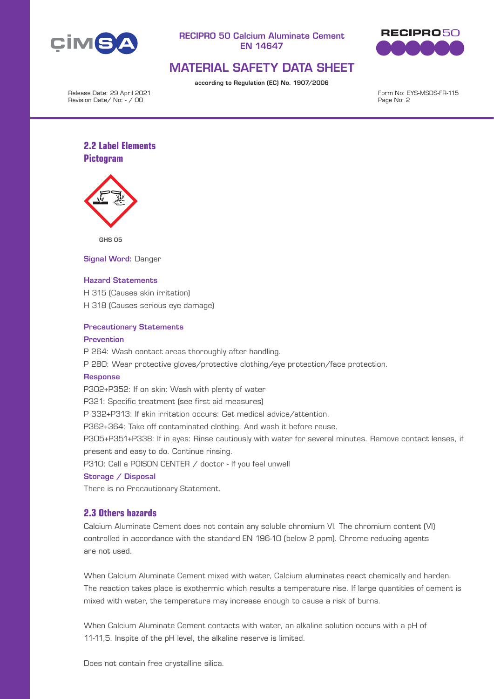



# MATERIAL SAFETY DATA SHEET

according to Regulation (EC) No. 1907/2006

Release Date: 29 April 2021 Revision Date/ No: - / 00

Form No: EYS-MSDS-FR-115 Page No: 2

# **2.2 Label Elements Pictogram**



GHS 05

Signal Word: Danger

#### Hazard Statements

H 315 (Causes skin irritation) H 318 (Causes serious eye damage)

#### Precautionary Statements

#### **Prevention**

P 264: Wash contact areas thoroughly after handling.

P 280: Wear protective gloves/protective clothing/eye protection/face protection.

#### Response

P302+P352: If on skin: Wash with plenty of water

P321: Specific treatment (see first aid measures)

P 332+P313: If skin irritation occurs: Get medical advice/attention.

P362+364: Take off contaminated clothing. And wash it before reuse.

P305+P351+P338: If in eyes: Rinse cautiously with water for several minutes. Remove contact lenses, if present and easy to do. Continue rinsing.

P310: Call a P0ISON CENTER / doctor - If you feel unwell

#### Storage / Disposal

There is no Precautionary Statement.

### **2.3 Others hazards**

Calcium Aluminate Cement does not contain any soluble chromium VI. The chromium content (VI) controlled in accordance with the standard EN 196-10 (below 2 ppm). Chrome reducing agents are not used.

When Calcium Aluminate Cement mixed with water, Calcium aluminates react chemically and harden. The reaction takes place is exothermic which results a temperature rise. If large quantities of cement is mixed with water, the temperature may increase enough to cause a risk of burns.

When Calcium Aluminate Cement contacts with water, an alkaline solution occurs with a pH of 11-11,5. Inspite of the pH level, the alkaline reserve is limited.

Does not contain free crystalline silica.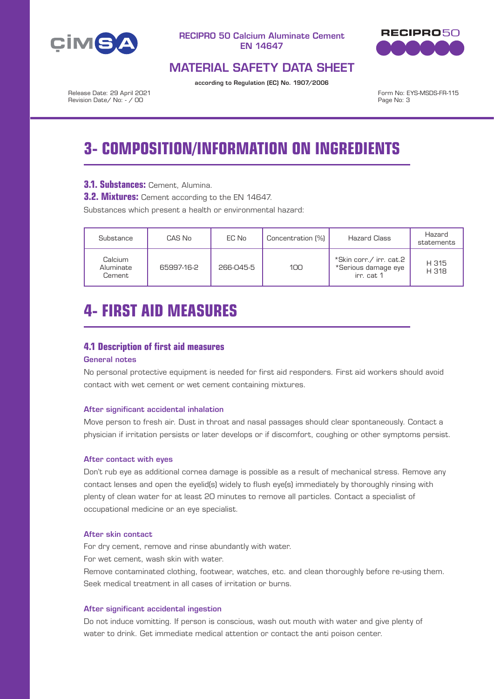



# MATERIAL SAFETY DATA SHEET

according to Regulation (EC) No. 1907/2006

Release Date: 29 April 2021 Revision Date/ No: - / 00

Form No: EYS-MSDS-FR-115 Page No: 3

# **3- COMPOSITION/INFORMATION ON INGREDIENTS**

# **3.1. Substances:** Cement, Alumina.

**3.2. Mixtures:** Cement according to the EN 14647.

Substances which present a health or environmental hazard:

| Substance                      | CAS No     | EC No     | Concentration (%) | <b>Hazard Class</b>                                          | Hazard<br>statements |
|--------------------------------|------------|-----------|-------------------|--------------------------------------------------------------|----------------------|
| Calcium<br>Aluminate<br>Cement | 65997-16-2 | 266-045-5 | 100               | *Skin corr./ irr. cat.2<br>*Serious damage eye<br>irr. cat 1 | H 315<br>H 318       |

# **4- FIRST AID MEASURES**

# **4.1 Description of first aid measures**

## General notes

No personal protective equipment is needed for first aid responders. First aid workers should avoid contact with wet cement or wet cement containing mixtures.

#### After significant accidental inhalation

Move person to fresh air. Dust in throat and nasal passages should clear spontaneously. Contact a physician if irritation persists or later develops or if discomfort, coughing or other symptoms persist.

#### After contact with eyes

Don't rub eye as additional cornea damage is possible as a result of mechanical stress. Remove any contact lenses and open the eyelid(s) widely to flush eye(s) immediately by thoroughly rinsing with plenty of clean water for at least 20 minutes to remove all particles. Contact a specialist of occupational medicine or an eye specialist.

#### After skin contact

For dry cement, remove and rinse abundantly with water. For wet cement, wash skin with water.

Remove contaminated clothing, footwear, watches, etc. and clean thoroughly before re-using them. Seek medical treatment in all cases of irritation or burns.

#### After significant accidental ingestion

Do not induce vomitting. If person is conscious, wash out mouth with water and give plenty of water to drink. Get immediate medical attention or contact the anti poison center.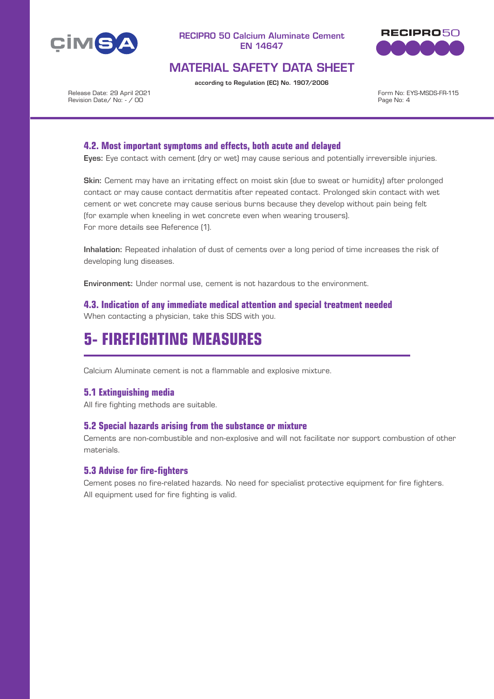



# MATERIAL SAFETY DATA SHEET

according to Regulation (EC) No. 1907/2006

Release Date: 29 April 2021 Revision Date/ No: - / 00

Form No: EYS-MSDS-FR-115 Page No: 4

## **4.2. Most important symptoms and effects, both acute and delayed**

Eyes: Eye contact with cement (dry or wet) may cause serious and potentially irreversible injuries.

Skin: Cement may have an irritating effect on moist skin (due to sweat or humidity) after prolonged contact or may cause contact dermatitis after repeated contact. Prolonged skin contact with wet cement or wet concrete may cause serious burns because they develop without pain being felt (for example when kneeling in wet concrete even when wearing trousers). For more details see Reference (1).

Inhalation: Repeated inhalation of dust of cements over a long period of time increases the risk of developing lung diseases.

Environment: Under normal use, cement is not hazardous to the environment.

**4.3. Indication of any immediate medical attention and special treatment needed** When contacting a physician, take this SDS with you.

# **5- FIREFIGHTING MEASURES**

Calcium Aluminate cement is not a flammable and explosive mixture.

### **5.1 Extinguishing media**

All fire fighting methods are suitable.

#### **5.2 Special hazards arising from the substance or mixture**

Cements are non-combustible and non-explosive and will not facilitate nor support combustion of other materials.

### **5.3 Advise for fire-fighters**

Cement poses no fire-related hazards. No need for specialist protective equipment for fire fighters. All equipment used for fire fighting is valid.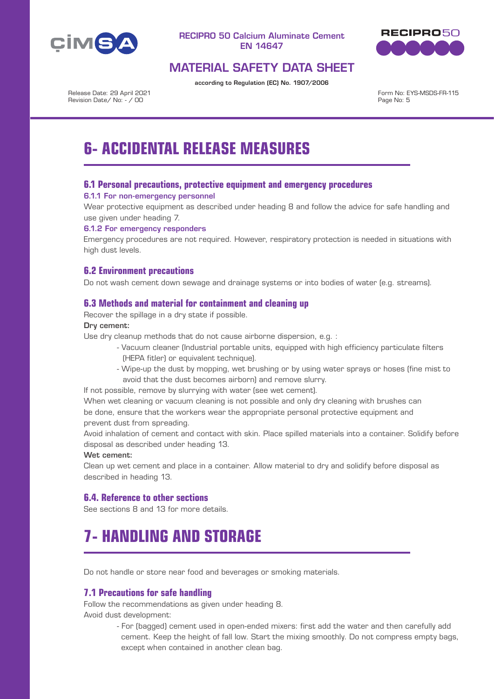



# MATERIAL SAFETY DATA SHEET

according to Regulation (EC) No. 1907/2006

Release Date: 29 April 2021 Revision Date/ No: - / 00

Form No: EYS-MSDS-FR-115 Page No: 5

# **6- ACCIDENTAL RELEASE MEASURES**

## **6.1 Personal precautions, protective equipment and emergency procedures**

#### 6.1.1 For non-emergency personnel

Wear protective equipment as described under heading 8 and follow the advice for safe handling and use given under heading 7.

### 6.1.2 For emergency responders

Emergency procedures are not required. However, respiratory protection is needed in situations with high dust levels.

# **6.2 Environment precautions**

Do not wash cement down sewage and drainage systems or into bodies of water (e.g. streams).

## **6.3 Methods and material for containment and cleaning up**

Recover the spillage in a dry state if possible.

#### Dry cement:

Use dry cleanup methods that do not cause airborne dispersion, e.g. :

- Vacuum cleaner (Industrial portable units, equipped with high efficiency particulate filters (HEPA fitler) or equivalent technique).
- Wipe-up the dust by mopping, wet brushing or by using water sprays or hoses (fine mist to avoid that the dust becomes airborn) and remove slurry.

If not possible, remove by slurrying with water (see wet cement).

When wet cleaning or vacuum cleaning is not possible and only dry cleaning with brushes can be done, ensure that the workers wear the appropriate personal protective equipment and prevent dust from spreading.

Avoid inhalation of cement and contact with skin. Place spilled materials into a container. Solidify before disposal as described under heading 13.

#### Wet cement:

Clean up wet cement and place in a container. Allow material to dry and solidify before disposal as described in heading 13.

## **6.4. Reference to other sections**

See sections 8 and 13 for more details.

# **7- HANDLING AND STORAGE**

Do not handle or store near food and beverages or smoking materials.

### **7.1 Precautions for safe handling**

Follow the recommendations as given under heading 8. Avoid dust development:

> - For (bagged) cement used in open-ended mixers: first add the water and then carefully add cement. Keep the height of fall low. Start the mixing smoothly. Do not compress empty bags, except when contained in another clean bag.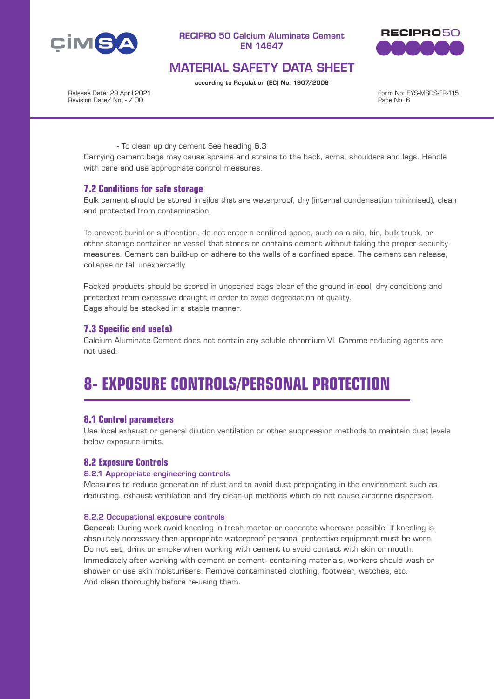



# MATERIAL SAFETY DATA SHEET

according to Regulation (EC) No. 1907/2006

Release Date: 29 April 2021 Revision Date/ No: - / 00

Form No: EYS-MSDS-FR-115 Page No: 6

- To clean up dry cement See heading 6.3

Carrying cement bags may cause sprains and strains to the back, arms, shoulders and legs. Handle with care and use appropriate control measures.

### **7.2 Conditions for safe storage**

Bulk cement should be stored in silos that are waterproof, dry (internal condensation minimised), clean and protected from contamination.

To prevent burial or suffocation, do not enter a confined space, such as a silo, bin, bulk truck, or other storage container or vessel that stores or contains cement without taking the proper security measures. Cement can build-up or adhere to the walls of a confined space. The cement can release, collapse or fall unexpectedly.

Packed products should be stored in unopened bags clear of the ground in cool, dry conditions and protected from excessive draught in order to avoid degradation of quality. Bags should be stacked in a stable manner.

## **7.3 Specific end use(s)**

Calcium Aluminate Cement does not contain any soluble chromium VI. Chrome reducing agents are not used.

# **8- EXPOSURE CONTROLS/PERSONAL PROTECTION**

### **8.1 Control parameters**

Use local exhaust or general dilution ventilation or other suppression methods to maintain dust levels below exposure limits.

### **8.2 Exposure Controls**

#### 8.2.1 Appropriate engineering controls

Measures to reduce generation of dust and to avoid dust propagating in the environment such as dedusting, exhaust ventilation and dry clean-up methods which do not cause airborne dispersion.

#### 8.2.2 Occupational exposure controls

General: During work avoid kneeling in fresh mortar or concrete wherever possible. If kneeling is absolutely necessary then appropriate waterproof personal protective equipment must be worn. Do not eat, drink or smoke when working with cement to avoid contact with skin or mouth. Immediately after working with cement or cement- containing materials, workers should wash or shower or use skin moisturisers. Remove contaminated clothing, footwear, watches, etc. And clean thoroughly before re-using them.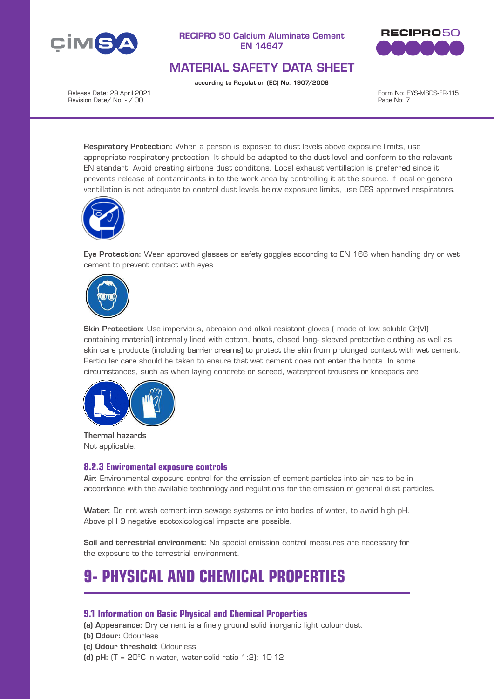



# MATERIAL SAFETY DATA SHEET

according to Regulation (EC) No. 1907/2006

Release Date: 29 April 2021 Revision Date/ No: - / 00

Form No: EYS-MSDS-FR-115 Page No: 7

Respiratory Protection: When a person is exposed to dust levels above exposure limits, use appropriate respiratory protection. It should be adapted to the dust level and conform to the relevant EN standart. Avoid creating airbone dust conditons. Local exhaust ventillation is preferred since it prevents release of contaminants in to the work area by controlling it at the source. If local or general ventillation is not adequate to control dust levels below exposure limits, use OES approved respirators.



Eye Protection: Wear approved glasses or safety goggles according to EN 166 when handling dry or wet cement to prevent contact with eyes.



Skin Protection: Use impervious, abrasion and alkali resistant gloves ( made of low soluble Cr(VI) containing material) internally lined with cotton, boots, closed long- sleeved protective clothing as well as skin care products (including barrier creams) to protect the skin from prolonged contact with wet cement. Particular care should be taken to ensure that wet cement does not enter the boots. In some circumstances, such as when laying concrete or screed, waterproof trousers or kneepads are



Thermal hazards Not applicable.

### **8.2.3 Enviromental exposure controls**

Air: Environmental exposure control for the emission of cement particles into air has to be in accordance with the available technology and regulations for the emission of general dust particles.

Water: Do not wash cement into sewage systems or into bodies of water, to avoid high pH. Above pH 9 negative ecotoxicological impacts are possible.

Soil and terrestrial environment: No special emission control measures are necessary for the exposure to the terrestrial environment.

# **9- PHYSICAL AND CHEMICAL PROPERTIES**

### **9.1 Information on Basic Physical and Chemical Properties**

(a) Appearance: Dry cement is a finely ground solid inorganic light colour dust.

- (b) Odour: Odourless
- (c) Odour threshold: Odourless
- (d) pH:  $(T = 20^{\circ}C$  in water, water-solid ratio 1:2): 10-12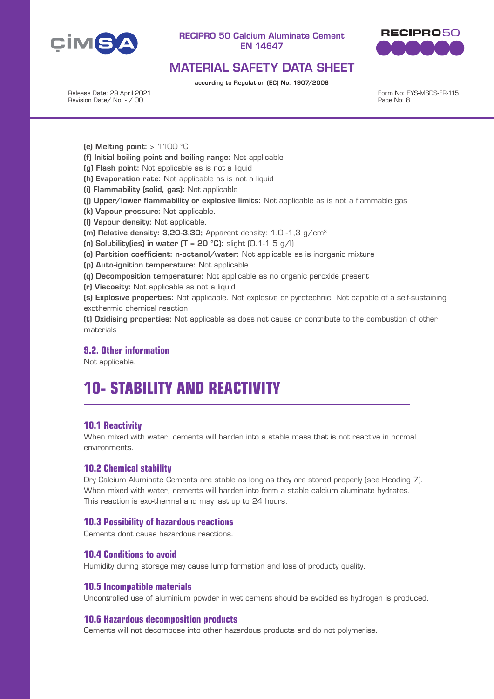



# MATERIAL SAFETY DATA SHEET

according to Regulation (EC) No. 1907/2006

Release Date: 29 April 2021 Revision Date/ No: - / 00

Form No: EYS-MSDS-FR-115 Page No: 8

- (e) Melting point:  $> 1100$  °C
- (f) Initial boiling point and boiling range: Not applicable
- (g) Flash point: Not applicable as is not a liquid
- (h) Evaporation rate: Not applicable as is not a liquid
- (i) Flammability (solid, gas): Not applicable
- (j) Upper/lower flammability or explosive limits: Not applicable as is not a flammable gas
- (k) Vapour pressure: Not applicable.
- (l) Vapour density: Not applicable.
- (m) Relative density:  $3.20-3.30$ : Apparent density:  $1.0 1.3$  g/cm<sup>3</sup>
- (n) Solubility(ies) in water  $(T = 20 \text{ °C})$ : slight  $(0.1 1.5 \text{ g/l})$
- (o) Partition coefficient: n-octanol/water: Not applicable as is inorganic mixture
- (p) Auto-ignition temperature: Not applicable
- (q) Decomposition temperature: Not applicable as no organic peroxide present
- (r) Viscosity: Not applicable as not a liquid

(s) Explosive properties: Not applicable. Not explosive or pyrotechnic. Not capable of a self-sustaining exothermic chemical reaction.

(t) Oxidising properties: Not applicable as does not cause or contribute to the combustion of other materials

## **9.2. Other information**

Not applicable.

# **10- STABILITY AND REACTIVITY**

### **10.1 Reactivity**

When mixed with water, cements will harden into a stable mass that is not reactive in normal environments.

### **10.2 Chemical stability**

Dry Calcium Aluminate Cements are stable as long as they are stored properly (see Heading 7). When mixed with water, cements will harden into form a stable calcium aluminate hydrates. This reaction is exo-thermal and may last up to 24 hours.

#### **10.3 Possibility of hazardous reactions**

Cements dont cause hazardous reactions.

#### **10.4 Conditions to avoid**

Humidity during storage may cause lump formation and loss of producty quality.

#### **10.5 Incompatible materials**

Uncontrolled use of aluminium powder in wet cement should be avoided as hydrogen is produced.

#### **10.6 Hazardous decomposition products**

Cements will not decompose into other hazardous products and do not polymerise.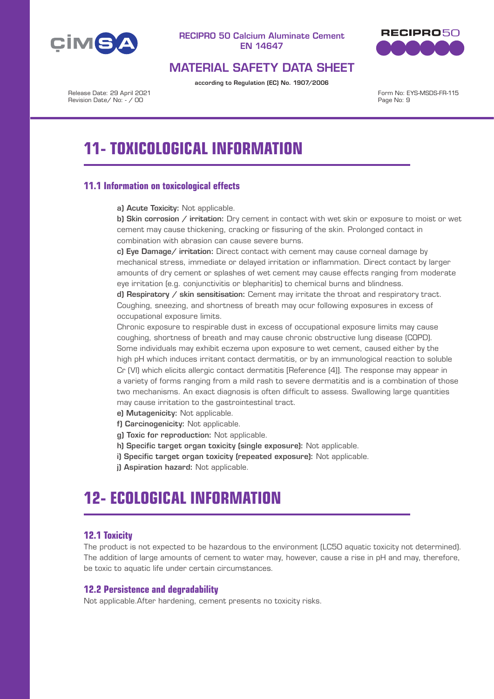



# MATERIAL SAFETY DATA SHEET

according to Regulation (EC) No. 1907/2006

Release Date: 29 April 2021 Revision Date/ No: - / 00

Form No: EYS-MSDS-FR-115 Page No: 9

# **11- TOXICOLOGICAL INFORMATION**

# **11.1 Information on toxicological effects**

a) Acute Toxicity: Not applicable.

b) Skin corrosion  $/$  irritation: Dry cement in contact with wet skin or exposure to moist or wet cement may cause thickening, cracking or fissuring of the skin. Prolonged contact in combination with abrasion can cause severe burns.

c) Eye Damage/ irritation: Direct contact with cement may cause corneal damage by mechanical stress, immediate or delayed irritation or inflammation. Direct contact by larger amounts of dry cement or splashes of wet cement may cause effects ranging from moderate eye irritation (e.g. conjunctivitis or blepharitis) to chemical burns and blindness.

d) Respiratory / skin sensitisation: Cement may irritate the throat and respiratory tract. Coughing, sneezing, and shortness of breath may ocur following exposures in excess of occupational exposure limits.

Chronic exposure to respirable dust in excess of occupational exposure limits may cause coughing, shortness of breath and may cause chronic obstructive lung disease (COPD). Some individuals may exhibit eczema upon exposure to wet cement, caused either by the high pH which induces irritant contact dermatitis, or by an immunological reaction to soluble Cr (VI) which elicits allergic contact dermatitis [Reference (4)]. The response may appear in a variety of forms ranging from a mild rash to severe dermatitis and is a combination of those two mechanisms. An exact diagnosis is often difficult to assess. Swallowing large quantities may cause irritation to the gastrointestinal tract.

- e) Mutagenicity: Not applicable.
- f) Carcinogenicity: Not applicable.
- g) Toxic for reproduction: Not applicable.
- h) Specific target organ toxicity (single exposure): Not applicable.
- i) Specific target organ toxicity (repeated exposure): Not applicable.
- j) Aspiration hazard: Not applicable.

# **12- ECOLOGICAL INFORMATION**

# **12.1 Toxicity**

The product is not expected to be hazardous to the environment (LC50 aquatic toxicity not determined). The addition of large amounts of cement to water may, however, cause a rise in pH and may, therefore, be toxic to aquatic life under certain circumstances.

## **12.2 Persistence and degradability**

Not applicable.After hardening, cement presents no toxicity risks.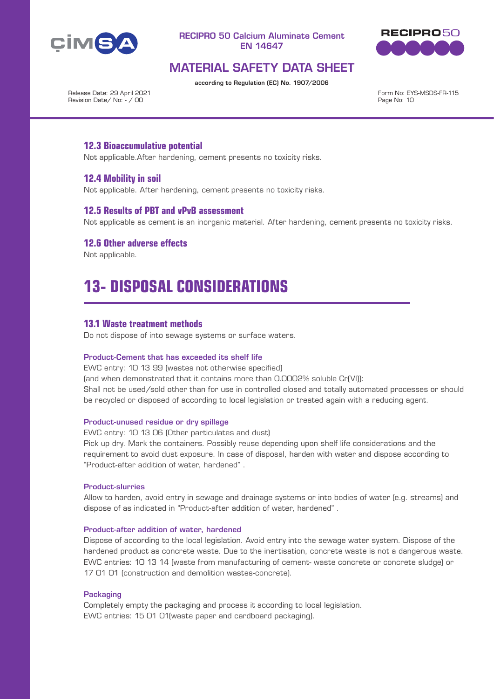



# MATERIAL SAFETY DATA SHEET

according to Regulation (EC) No. 1907/2006

Release Date: 29 April 2021 Revision Date/ No: - / 00

Form No: EYS-MSDS-FR-115 Page No: 10

## **12.3 Bioaccumulative potential**

Not applicable.After hardening, cement presents no toxicity risks.

### **12.4 Mobility in soil**

Not applicable. After hardening, cement presents no toxicity risks.

#### **12.5 Results of PBT and vPvB assessment**

Not applicable as cement is an inorganic material. After hardening, cement presents no toxicity risks.

### **12.6 Other adverse effects**

Not applicable.

# **13- DISPOSAL CONSIDERATIONS**

#### **13.1 Waste treatment methods**

Do not dispose of into sewage systems or surface waters.

#### Product-Cement that has exceeded its shelf life

EWC entry: 10 13 99 (wastes not otherwise specified) (and when demonstrated that it contains more than 0.0002% soluble Cr(VI)): Shall not be used/sold other than for use in controlled closed and totally automated processes or should be recycled or disposed of according to local legislation or treated again with a reducing agent.

#### Product-unused residue or dry spillage

EWC entry: 10 13 06 (Other particulates and dust)

Pick up dry. Mark the containers. Possibly reuse depending upon shelf life considerations and the requirement to avoid dust exposure. In case of disposal, harden with water and dispose according to "Product-after addition of water, hardened" .

#### Product-slurries

Allow to harden, avoid entry in sewage and drainage systems or into bodies of water (e.g. streams) and dispose of as indicated in "Product-after addition of water, hardened" .

#### Product-after addition of water, hardened

Dispose of according to the local legislation. Avoid entry into the sewage water system. Dispose of the hardened product as concrete waste. Due to the inertisation, concrete waste is not a dangerous waste. EWC entries: 10 13 14 (waste from manufacturing of cement- waste concrete or concrete sludge) or 17 01 01 (construction and demolition wastes-concrete).

#### **Packaging**

Completely empty the packaging and process it according to local legislation. EWC entries: 15 01 01(waste paper and cardboard packaging).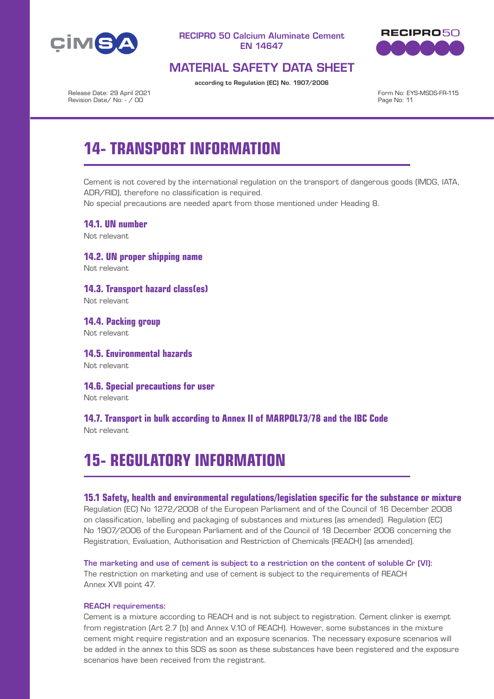



# MATERIAL SAFETY DATA SHEET

according to Regulation (EC) No. 1907/2006

Release Date: 29 April 2021 Revision Date/ No: - / 00

Form No: EYS-MSDS-FR-115 Page No: 11

# **14- TRANSPORT INFORMATION**

Cement is not covered by the international regulation on the transport of dangerous goods (IMDG, IATA, ADR/RID), therefore no classification is required.

No special precautions are needed apart from those mentioned under Heading 8.

**14.1. UN number** Not relevant

**14.2. UN proper shipping name** Not relevant

**14.3. Transport hazard class(es)** Not relevant

**14.4. Packing group** Not relevant

**14.5. Environmental hazards** Not relevant

**14.6. Special precautions for user** Not relevant

**14.7. Transport in bulk according to Annex II of MARPOL73/78 and the IBC Code** Not relevant

# **15- REGULATORY INFORMATION**

#### **15.1 Safety, health and environmental regulations/legislation specific for the substance or mixture**

Regulation (EC) No 1272/2008 of the European Parliament and of the Council of 16 December 2008 on classification, labelling and packaging of substances and mixtures (as amended). Regulation (EC) No 1907/2006 of the European Parliament and of the Council of 18 December 2006 concerning the Registration, Evaluation, Authorisation and Restriction of Chemicals (REACH) (as amended).

The marketing and use of cement is subject to a restriction on the content of soluble Cr (VI): The restriction on marketing and use of cement is subject to the requirements of REACH Annex XVII point 47.

#### REACH requirements:

Cement is a mixture according to REACH and is not subject to registration. Cement clinker is exempt from registration (Art 2.7 (b) and Annex V.10 of REACH). However, some substances in the mixture cement might require registration and an exposure scenarios. The necessary exposure scenarios will be added in the annex to this SDS as soon as these substances have been registered and the exposure scenarios have been received from the registrant.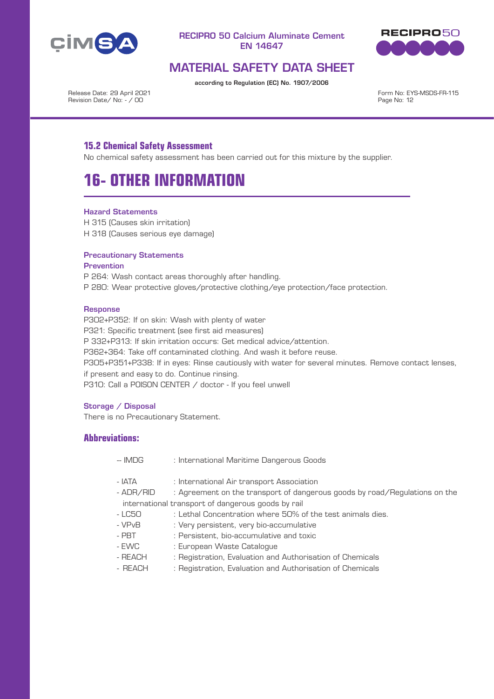



# MATERIAL SAFETY DATA SHEET

according to Regulation (EC) No. 1907/2006

Release Date: 29 April 2021 Revision Date/ No: - / 00

Form No: EYS-MSDS-FR-115 Page No: 12

## **15.2 Chemical Safety Assessment**

No chemical safety assessment has been carried out for this mixture by the supplier.

# **16- OTHER INFORMATION**

#### Hazard Statements

H 315 (Causes skin irritation) H 318 (Causes serious eye damage)

#### Precautionary Statements

#### **Prevention**

P 264: Wash contact areas thoroughly after handling. P 280: Wear protective gloves/protective clothing/eye protection/face protection.

#### **Response**

P302+P352: If on skin: Wash with plenty of water P321: Specific treatment (see first aid measures) P 332+P313: If skin irritation occurs: Get medical advice/attention. P362+364: Take off contaminated clothing. And wash it before reuse. P305+P351+P338: If in eyes: Rinse cautiously with water for several minutes. Remove contact lenses, if present and easy to do. Continue rinsing. P310: Call a P0ISON CENTER / doctor - If you feel unwell

#### Storage / Disposal

There is no Precautionary Statement.

## **Abbreviations:**

- -- IMDG : International Maritime Dangerous Goods
- IATA : International Air transport Association
- ADR/RID : Agreement on the transport of dangerous goods by road/Regulations on the international transport of dangerous goods by rail
- LC50 : Lethal Concentration where 50% of the test animals dies.
- VPvB : Very persistent, very bio-accumulative
- PBT : Persistent, bio-accumulative and toxic
- EWC : European Waste Catalogue
- REACH : Registration, Evaluation and Authorisation of Chemicals
- REACH : Registration, Evaluation and Authorisation of Chemicals